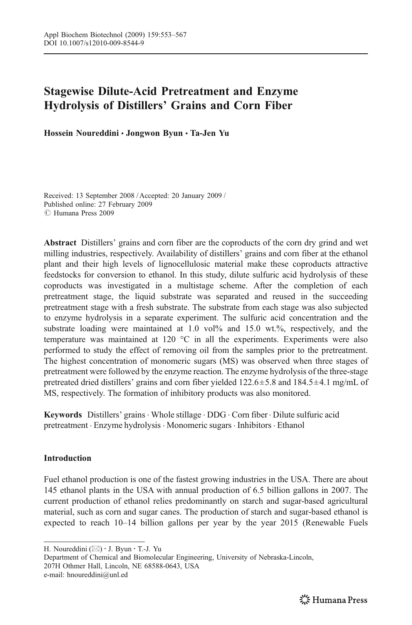# Stagewise Dilute-Acid Pretreatment and Enzyme Hydrolysis of Distillers*'* Grains and Corn Fiber

Hossein Noureddini & Jongwon Byun & Ta-Jen Yu

Received: 13 September 2008 / Accepted: 20 January 2009 / Published online: 27 February 2009  $\circ$  Humana Press 2009

Abstract Distillers' grains and corn fiber are the coproducts of the corn dry grind and wet milling industries, respectively. Availability of distillers' grains and corn fiber at the ethanol plant and their high levels of lignocellulosic material make these coproducts attractive feedstocks for conversion to ethanol. In this study, dilute sulfuric acid hydrolysis of these coproducts was investigated in a multistage scheme. After the completion of each pretreatment stage, the liquid substrate was separated and reused in the succeeding pretreatment stage with a fresh substrate. The substrate from each stage was also subjected to enzyme hydrolysis in a separate experiment. The sulfuric acid concentration and the substrate loading were maintained at 1.0 vol% and 15.0 wt.%, respectively, and the temperature was maintained at 120 °C in all the experiments. Experiments were also performed to study the effect of removing oil from the samples prior to the pretreatment. The highest concentration of monomeric sugars (MS) was observed when three stages of pretreatment were followed by the enzyme reaction. The enzyme hydrolysis of the three-stage pretreated dried distillers' grains and corn fiber yielded  $122.6 \pm 5.8$  and  $184.5 \pm 4.1$  mg/mL of MS, respectively. The formation of inhibitory products was also monitored.

Keywords Distillers' grains . Whole stillage . DDG . Corn fiber. Dilute sulfuric acid pretreatment . Enzyme hydrolysis . Monomeric sugars . Inhibitors . Ethanol

# Introduction

Fuel ethanol production is one of the fastest growing industries in the USA. There are about 145 ethanol plants in the USA with annual production of 6.5 billion gallons in 2007. The current production of ethanol relies predominantly on starch and sugar-based agricultural material, such as corn and sugar canes. The production of starch and sugar-based ethanol is expected to reach 10–14 billion gallons per year by the year 2015 (Renewable Fuels

H. Noureddini (*\**) : J. Byun : T.-J. Yu

Department of Chemical and Biomolecular Engineering, University of Nebraska-Lincoln, 207H Othmer Hall, Lincoln, NE 68588-0643, USA e-mail: hnoureddini@unl.ed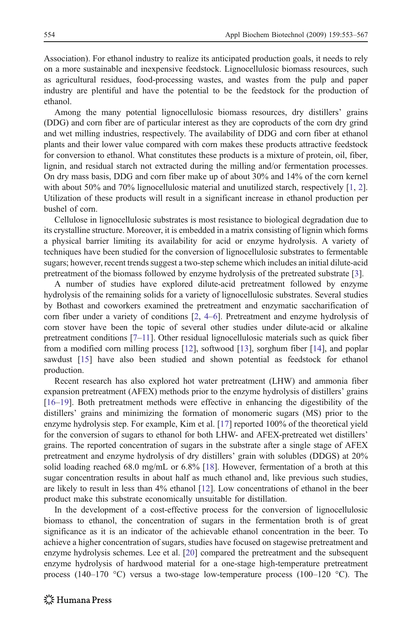Association). For ethanol industry to realize its anticipated production goals, it needs to rely on a more sustainable and inexpensive feedstock. Lignocellulosic biomass resources, such as agricultural residues, food-processing wastes, and wastes from the pulp and paper industry are plentiful and have the potential to be the feedstock for the production of ethanol.

Among the many potential lignocellulosic biomass resources, dry distillers' grains (DDG) and corn fiber are of particular interest as they are coproducts of the corn dry grind and wet milling industries, respectively. The availability of DDG and corn fiber at ethanol plants and their lower value compared with corn makes these products attractive feedstock for conversion to ethanol. What constitutes these products is a mixture of protein, oil, fiber, lignin, and residual starch not extracted during the milling and/or fermentation processes. On dry mass basis, DDG and corn fiber make up of about 30% and 14% of the corn kernel with about 50% and 70% lignocellulosic material and unutilized starch, respectively [[1](#page-12-0), [2](#page-12-0)]. Utilization of these products will result in a significant increase in ethanol production per bushel of corn.

Cellulose in lignocellulosic substrates is most resistance to biological degradation due to its crystalline structure. Moreover, it is embedded in a matrix consisting of lignin which forms a physical barrier limiting its availability for acid or enzyme hydrolysis. A variety of techniques have been studied for the conversion of lignocellulosic substrates to fermentable sugars; however, recent trends suggest a two-step scheme which includes an initial dilute-acid pretreatment of the biomass followed by enzyme hydrolysis of the pretreated substrate [\[3](#page-12-0)].

A number of studies have explored dilute-acid pretreatment followed by enzyme hydrolysis of the remaining solids for a variety of lignocellulosic substrates. Several studies by Bothast and coworkers examined the pretreatment and enzymatic saccharification of corn fiber under a variety of conditions [\[2](#page-12-0), [4](#page-13-0)–[6](#page-13-0)]. Pretreatment and enzyme hydrolysis of corn stover have been the topic of several other studies under dilute-acid or alkaline pretreatment conditions [[7](#page-13-0)–[11](#page-13-0)]. Other residual lignocellulosic materials such as quick fiber from a modified corn milling process [[12](#page-13-0)], softwood [[13](#page-13-0)], sorghum fiber [[14](#page-13-0)], and poplar sawdust [[15](#page-13-0)] have also been studied and shown potential as feedstock for ethanol production.

Recent research has also explored hot water pretreatment (LHW) and ammonia fiber expansion pretreatment (AFEX) methods prior to the enzyme hydrolysis of distillers' grains [[16](#page-13-0)–[19](#page-13-0)]. Both pretreatment methods were effective in enhancing the digestibility of the distillers' grains and minimizing the formation of monomeric sugars (MS) prior to the enzyme hydrolysis step. For example, Kim et al. [[17](#page-13-0)] reported 100% of the theoretical yield for the conversion of sugars to ethanol for both LHW- and AFEX-pretreated wet distillers' grains. The reported concentration of sugars in the substrate after a single stage of AFEX pretreatment and enzyme hydrolysis of dry distillers' grain with solubles (DDGS) at 20% solid loading reached 68.0 mg/mL or 6.8% [\[18\]](#page-13-0). However, fermentation of a broth at this sugar concentration results in about half as much ethanol and, like previous such studies, are likely to result in less than 4% ethanol [[12](#page-13-0)]. Low concentrations of ethanol in the beer product make this substrate economically unsuitable for distillation.

In the development of a cost-effective process for the conversion of lignocellulosic biomass to ethanol, the concentration of sugars in the fermentation broth is of great significance as it is an indicator of the achievable ethanol concentration in the beer. To achieve a higher concentration of sugars, studies have focused on stagewise pretreatment and enzyme hydrolysis schemes. Lee et al. [\[20\]](#page-13-0) compared the pretreatment and the subsequent enzyme hydrolysis of hardwood material for a one-stage high-temperature pretreatment process (140–170  $\degree$ C) versus a two-stage low-temperature process (100–120  $\degree$ C). The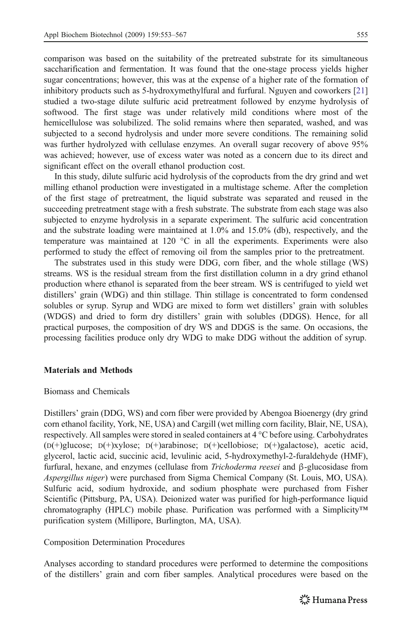<span id="page-2-0"></span>comparison was based on the suitability of the pretreated substrate for its simultaneous saccharification and fermentation. It was found that the one-stage process yields higher sugar concentrations; however, this was at the expense of a higher rate of the formation of inhibitory products such as 5-hydroxymethylfural and furfural. Nguyen and coworkers [\[21\]](#page-13-0) studied a two-stage dilute sulfuric acid pretreatment followed by enzyme hydrolysis of softwood. The first stage was under relatively mild conditions where most of the hemicellulose was solubilized. The solid remains where then separated, washed, and was subjected to a second hydrolysis and under more severe conditions. The remaining solid was further hydrolyzed with cellulase enzymes. An overall sugar recovery of above 95% was achieved; however, use of excess water was noted as a concern due to its direct and significant effect on the overall ethanol production cost.

In this study, dilute sulfuric acid hydrolysis of the coproducts from the dry grind and wet milling ethanol production were investigated in a multistage scheme. After the completion of the first stage of pretreatment, the liquid substrate was separated and reused in the succeeding pretreatment stage with a fresh substrate. The substrate from each stage was also subjected to enzyme hydrolysis in a separate experiment. The sulfuric acid concentration and the substrate loading were maintained at 1.0% and 15.0% (db), respectively, and the temperature was maintained at 120 °C in all the experiments. Experiments were also performed to study the effect of removing oil from the samples prior to the pretreatment.

The substrates used in this study were DDG, corn fiber, and the whole stillage (WS) streams. WS is the residual stream from the first distillation column in a dry grind ethanol production where ethanol is separated from the beer stream. WS is centrifuged to yield wet distillers' grain (WDG) and thin stillage. Thin stillage is concentrated to form condensed solubles or syrup. Syrup and WDG are mixed to form wet distillers' grain with solubles (WDGS) and dried to form dry distillers' grain with solubles (DDGS). Hence, for all practical purposes, the composition of dry WS and DDGS is the same. On occasions, the processing facilities produce only dry WDG to make DDG without the addition of syrup.

# Materials and Methods

#### Biomass and Chemicals

Distillers' grain (DDG, WS) and corn fiber were provided by Abengoa Bioenergy (dry grind corn ethanol facility, York, NE, USA) and Cargill (wet milling corn facility, Blair, NE, USA), respectively. All samples were stored in sealed containers at 4 °C before using. Carbohydrates (D(+)glucose; D(+)xylose; D(+)arabinose; D(+)cellobiose; D(+)galactose), acetic acid, glycerol, lactic acid, succinic acid, levulinic acid, 5-hydroxymethyl-2-furaldehyde (HMF), furfural, hexane, and enzymes (cellulase from Trichoderma reesei and β-glucosidase from Aspergillus niger) were purchased from Sigma Chemical Company (St. Louis, MO, USA). Sulfuric acid, sodium hydroxide, and sodium phosphate were purchased from Fisher Scientific (Pittsburg, PA, USA). Deionized water was purified for high-performance liquid chromatography (HPLC) mobile phase. Purification was performed with a Simplicity*™* purification system (Millipore, Burlington, MA, USA).

Composition Determination Procedures

Analyses according to standard procedures were performed to determine the compositions of the distillers' grain and corn fiber samples. Analytical procedures were based on the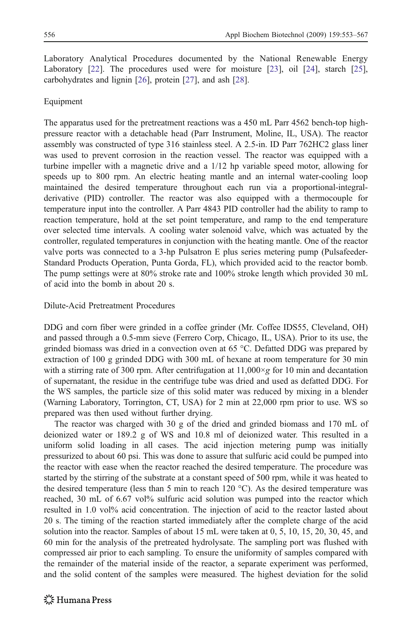Laboratory Analytical Procedures documented by the National Renewable Energy Laboratory [[22](#page-13-0)]. The procedures used were for moisture [[23](#page-13-0)], oil [[24](#page-13-0)], starch [[25](#page-13-0)], carbohydrates and lignin [\[26\]](#page-13-0), protein [[27](#page-13-0)], and ash [\[28\]](#page-13-0).

# Equipment

The apparatus used for the pretreatment reactions was a 450 mL Parr 4562 bench-top highpressure reactor with a detachable head (Parr Instrument, Moline, IL, USA). The reactor assembly was constructed of type 316 stainless steel. A 2.5-in. ID Parr 762HC2 glass liner was used to prevent corrosion in the reaction vessel. The reactor was equipped with a turbine impeller with a magnetic drive and a 1/12 hp variable speed motor, allowing for speeds up to 800 rpm. An electric heating mantle and an internal water-cooling loop maintained the desired temperature throughout each run via a proportional-integralderivative (PID) controller. The reactor was also equipped with a thermocouple for temperature input into the controller. A Parr 4843 PID controller had the ability to ramp to reaction temperature, hold at the set point temperature, and ramp to the end temperature over selected time intervals. A cooling water solenoid valve, which was actuated by the controller, regulated temperatures in conjunction with the heating mantle. One of the reactor valve ports was connected to a 3-hp Pulsatron E plus series metering pump (Pulsafeeder-Standard Products Operation, Punta Gorda, FL), which provided acid to the reactor bomb. The pump settings were at 80% stroke rate and 100% stroke length which provided 30 mL of acid into the bomb in about 20 s.

# Dilute-Acid Pretreatment Procedures

DDG and corn fiber were grinded in a coffee grinder (Mr. Coffee IDS55, Cleveland, OH) and passed through a 0.5-mm sieve (Ferrero Corp, Chicago, IL, USA). Prior to its use, the grinded biomass was dried in a convection oven at 65 °C. Defatted DDG was prepared by extraction of 100 g grinded DDG with 300 mL of hexane at room temperature for 30 min with a stirring rate of 300 rpm. After centrifugation at  $11,000 \times g$  for 10 min and decantation of supernatant, the residue in the centrifuge tube was dried and used as defatted DDG. For the WS samples, the particle size of this solid mater was reduced by mixing in a blender (Warning Laboratory, Torrington, CT, USA) for 2 min at 22,000 rpm prior to use. WS so prepared was then used without further drying.

The reactor was charged with 30 g of the dried and grinded biomass and 170 mL of deionized water or 189.2 g of WS and 10.8 ml of deionized water. This resulted in a uniform solid loading in all cases. The acid injection metering pump was initially pressurized to about 60 psi. This was done to assure that sulfuric acid could be pumped into the reactor with ease when the reactor reached the desired temperature. The procedure was started by the stirring of the substrate at a constant speed of 500 rpm, while it was heated to the desired temperature (less than 5 min to reach 120  $^{\circ}$ C). As the desired temperature was reached, 30 mL of 6.67 vol% sulfuric acid solution was pumped into the reactor which resulted in 1.0 vol% acid concentration. The injection of acid to the reactor lasted about 20 s. The timing of the reaction started immediately after the complete charge of the acid solution into the reactor. Samples of about 15 mL were taken at 0, 5, 10, 15, 20, 30, 45, and 60 min for the analysis of the pretreated hydrolysate. The sampling port was flushed with compressed air prior to each sampling. To ensure the uniformity of samples compared with the remainder of the material inside of the reactor, a separate experiment was performed, and the solid content of the samples were measured. The highest deviation for the solid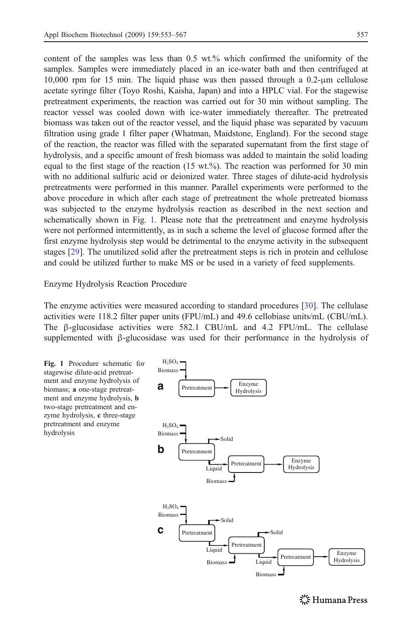content of the samples was less than 0.5 wt.% which confirmed the uniformity of the samples. Samples were immediately placed in an ice-water bath and then centrifuged at 10,000 rpm for 15 min. The liquid phase was then passed through a 0.2-μm cellulose acetate syringe filter (Toyo Roshi, Kaisha, Japan) and into a HPLC vial. For the stagewise pretreatment experiments, the reaction was carried out for 30 min without sampling. The reactor vessel was cooled down with ice-water immediately thereafter. The pretreated biomass was taken out of the reactor vessel, and the liquid phase was separated by vacuum filtration using grade 1 filter paper (Whatman, Maidstone, England). For the second stage of the reaction, the reactor was filled with the separated supernatant from the first stage of hydrolysis, and a specific amount of fresh biomass was added to maintain the solid loading equal to the first stage of the reaction (15 wt.%). The reaction was performed for 30 min with no additional sulfuric acid or deionized water. Three stages of dilute-acid hydrolysis pretreatments were performed in this manner. Parallel experiments were performed to the above procedure in which after each stage of pretreatment the whole pretreated biomass was subjected to the enzyme hydrolysis reaction as described in the next section and schematically shown in Fig. 1. Please note that the pretreatment and enzyme hydrolysis were not performed intermittently, as in such a scheme the level of glucose formed after the first enzyme hydrolysis step would be detrimental to the enzyme activity in the subsequent stages [[29\]](#page-13-0). The unutilized solid after the pretreatment steps is rich in protein and cellulose and could be utilized further to make MS or be used in a variety of feed supplements.

Enzyme Hydrolysis Reaction Procedure

The enzyme activities were measured according to standard procedures [[30](#page-13-0)]. The cellulase activities were 118.2 filter paper units (FPU/mL) and 49.6 cellobiase units/mL (CBU/mL). The  $\beta$ -glucosidase activities were 582.1 CBU/mL and 4.2 FPU/mL. The cellulase supplemented with  $\beta$ -glucosidase was used for their performance in the hydrolysis of



**※Humana Press**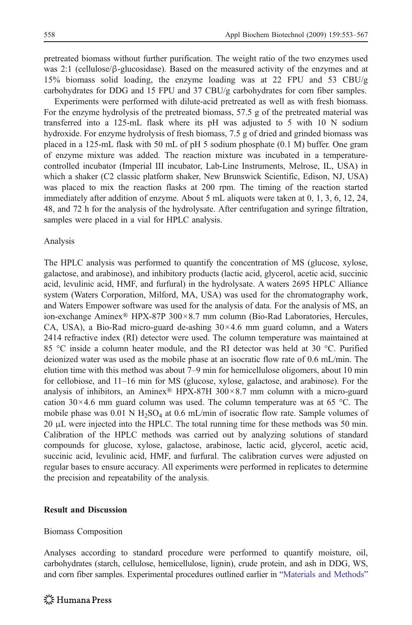pretreated biomass without further purification. The weight ratio of the two enzymes used was 2:1 (cellulose/ $\beta$ -glucosidase). Based on the measured activity of the enzymes and at 15% biomass solid loading, the enzyme loading was at 22 FPU and 53 CBU/g carbohydrates for DDG and 15 FPU and 37 CBU/g carbohydrates for corn fiber samples.

Experiments were performed with dilute-acid pretreated as well as with fresh biomass. For the enzyme hydrolysis of the pretreated biomass, 57.5 g of the pretreated material was transferred into a 125-mL flask where its pH was adjusted to 5 with 10 N sodium hydroxide. For enzyme hydrolysis of fresh biomass, 7.5 g of dried and grinded biomass was placed in a 125-mL flask with 50 mL of pH 5 sodium phosphate (0.1 M) buffer. One gram of enzyme mixture was added. The reaction mixture was incubated in a temperaturecontrolled incubator (Imperial III incubator, Lab-Line Instruments, Melrose, IL, USA) in which a shaker (C2 classic platform shaker, New Brunswick Scientific, Edison, NJ, USA) was placed to mix the reaction flasks at 200 rpm. The timing of the reaction started immediately after addition of enzyme. About 5 mL aliquots were taken at 0, 1, 3, 6, 12, 24, 48, and 72 h for the analysis of the hydrolysate. After centrifugation and syringe filtration, samples were placed in a vial for HPLC analysis.

#### Analysis

The HPLC analysis was performed to quantify the concentration of MS (glucose, xylose, galactose, and arabinose), and inhibitory products (lactic acid, glycerol, acetic acid, succinic acid, levulinic acid, HMF, and furfural) in the hydrolysate. A waters 2695 HPLC Alliance system (Waters Corporation, Milford, MA, USA) was used for the chromatography work, and Waters Empower software was used for the analysis of data. For the analysis of MS, an ion-exchange Aminex® HPX-87P 300×8.7 mm column (Bio-Rad Laboratories, Hercules, CA, USA), a Bio-Rad micro-guard de-ashing  $30 \times 4.6$  mm guard column, and a Waters 2414 refractive index (RI) detector were used. The column temperature was maintained at 85 °C inside a column heater module, and the RI detector was held at 30 °C. Purified deionized water was used as the mobile phase at an isocratic flow rate of 0.6 mL/min. The elution time with this method was about 7–9 min for hemicellulose oligomers, about 10 min for cellobiose, and 11–16 min for MS (glucose, xylose, galactose, and arabinose). For the analysis of inhibitors, an Aminex® HPX-87H  $300 \times 8.7$  mm column with a micro-guard cation  $30\times4.6$  mm guard column was used. The column temperature was at 65 °C. The mobile phase was  $0.01$  N H<sub>2</sub>SO<sub>4</sub> at  $0.6$  mL/min of isocratic flow rate. Sample volumes of 20 μL were injected into the HPLC. The total running time for these methods was 50 min. Calibration of the HPLC methods was carried out by analyzing solutions of standard compounds for glucose, xylose, galactose, arabinose, lactic acid, glycerol, acetic acid, succinic acid, levulinic acid, HMF, and furfural. The calibration curves were adjusted on regular bases to ensure accuracy. All experiments were performed in replicates to determine the precision and repeatability of the analysis.

#### Result and Discussion

#### Biomass Composition

Analyses according to standard procedure were performed to quantify moisture, oil, carbohydrates (starch, cellulose, hemicellulose, lignin), crude protein, and ash in DDG, WS, and corn fiber samples. Experimental procedures outlined earlier in "[Materials and Methods](#page-2-0)"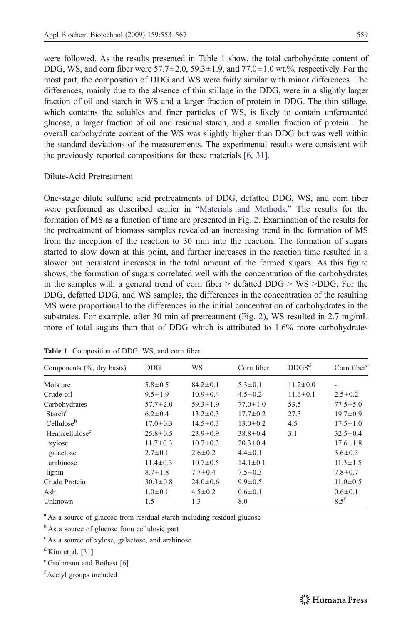were followed. As the results presented in Table 1 show, the total carbohydrate content of DDG, WS, and corn fiber were  $57.7 \pm 2.0$ ,  $59.3 \pm 1.9$ , and  $77.0 \pm 1.0$  wt.%, respectively. For the most part, the composition of DDG and WS were fairly similar with minor differences. The differences, mainly due to the absence of thin stillage in the DDG, were in a slightly larger fraction of oil and starch in WS and a larger fraction of protein in DDG. The thin stillage, which contains the solubles and finer particles of WS, is likely to contain unfermented glucose, a larger fraction of oil and residual starch, and a smaller fraction of protein. The overall carbohydrate content of the WS was slightly higher than DDG but was well within the standard deviations of the measurements. The experimental results were consistent with the previously reported compositions for these materials [\[6,](#page-13-0) [31](#page-13-0)].

# Dilute-Acid Pretreatment

One-stage dilute sulfuric acid pretreatments of DDG, defatted DDG, WS, and corn fiber were performed as described earlier in "[Materials and Methods.](#page-2-0)" The results for the formation of MS as a function of time are presented in Fig. [2.](#page-7-0) Examination of the results for the pretreatment of biomass samples revealed an increasing trend in the formation of MS from the inception of the reaction to 30 min into the reaction. The formation of sugars started to slow down at this point, and further increases in the reaction time resulted in a slower but persistent increases in the total amount of the formed sugars. As this figure shows, the formation of sugars correlated well with the concentration of the carbohydrates in the samples with a general trend of corn fiber  $>$  defatted DDG  $>$  WS  $>$ DDG. For the DDG, defatted DDG, and WS samples, the differences in the concentration of the resulting MS were proportional to the differences in the initial concentration of carbohydrates in the substrates. For example, after 30 min of pretreatment (Fig. [2\)](#page-7-0), WS resulted in 2.7 mg/mL more of total sugars than that of DDG which is attributed to 1.6% more carbohydrates

| Components (%, dry basis)  | <b>DDG</b>     | WS             | Corn fiber     | DDGS <sup>d</sup> | Corn fiber $e$ |
|----------------------------|----------------|----------------|----------------|-------------------|----------------|
| Moisture                   | $5.8 \pm 0.5$  | $84.2 \pm 0.1$ | $5.3 \pm 0.1$  | $11.2 \pm 0.0$    |                |
| Crude oil                  | $9.5 \pm 1.9$  | $10.9 \pm 0.4$ | $4.5 \pm 0.2$  | $11.6 \pm 0.1$    | $2.5 \pm 0.2$  |
| Carbohydrates              | $57.7 \pm 2.0$ | $59.3 \pm 1.9$ | $77.0 \pm 1.0$ | 53.5              | $77.5 \pm 5.0$ |
| Starch <sup>a</sup>        | $6.2 \pm 0.4$  | $13.2 \pm 0.3$ | $17.7 \pm 0.2$ | 27.3              | $19.7 \pm 0.9$ |
| Cellulose <sup>b</sup>     | $17.0 \pm 0.3$ | $14.5 \pm 0.3$ | $13.0 \pm 0.2$ | 4.5               | $17.5 \pm 1.0$ |
| Hemicellulose <sup>c</sup> | $25.8 \pm 0.5$ | $23.9 \pm 0.9$ | $38.8 \pm 0.4$ | 3.1               | $32.5 \pm 0.4$ |
| xylose                     | $11.7 \pm 0.3$ | $10.7 \pm 0.3$ | $20.3 \pm 0.4$ |                   | $17.6 \pm 1.8$ |
| galactose                  | $2.7 \pm 0.1$  | $2.6 \pm 0.2$  | $4.4 \pm 0.1$  |                   | $3.6 \pm 0.3$  |
| arabinose                  | $11.4 \pm 0.3$ | $10.7 \pm 0.5$ | $14.1 \pm 0.1$ |                   | $11.3 \pm 1.5$ |
| lignin                     | $8.7 \pm 1.8$  | $7.7 \pm 0.4$  | $7.5 \pm 0.3$  |                   | $7.8 \pm 0.7$  |
| Crude Protein              | $30.3 \pm 0.8$ | $24.0 \pm 0.6$ | $9.9 \pm 0.5$  |                   | $11.0 \pm 0.5$ |
| Ash                        | $1.0 \pm 0.1$  | $4.5 \pm 0.2$  | $0.6 \pm 0.1$  |                   | $0.6 \pm 0.1$  |
| Unknown                    | 1.5            | 1.3            | 8.0            |                   | $8.5^{t}$      |

Table 1 Composition of DDG, WS, and corn fiber.

<sup>a</sup> As a source of glucose from residual starch including residual glucose

<sup>b</sup> As a source of glucose from cellulosic part

<sup>c</sup> As a source of xylose, galactose, and arabinose

 $d$ Kim et al. [[31\]](#page-13-0)

<sup>e</sup> Grohmann and Bothast [[6\]](#page-13-0)

f Acetyl groups included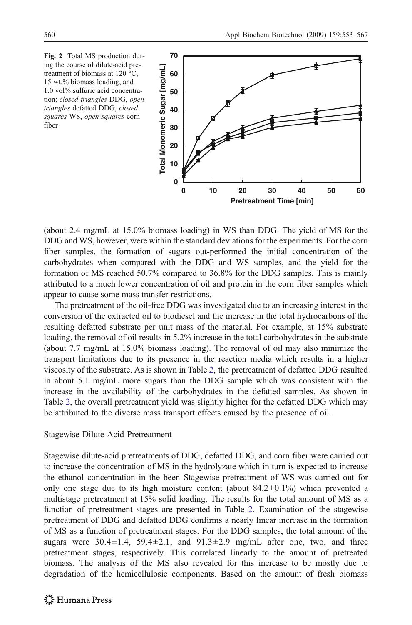<span id="page-7-0"></span>Fig. 2 Total MS production during the course of dilute-acid pretreatment of biomass at 120 °C, 15 wt.% biomass loading, and 1.0 vol% sulfuric acid concentration; closed triangles DDG, open triangles defatted DDG, closed squares WS, open squares corn fiber



(about 2.4 mg/mL at 15.0% biomass loading) in WS than DDG. The yield of MS for the DDG and WS, however, were within the standard deviations for the experiments. For the corn fiber samples, the formation of sugars out-performed the initial concentration of the carbohydrates when compared with the DDG and WS samples, and the yield for the formation of MS reached 50.7% compared to 36.8% for the DDG samples. This is mainly attributed to a much lower concentration of oil and protein in the corn fiber samples which appear to cause some mass transfer restrictions.

The pretreatment of the oil-free DDG was investigated due to an increasing interest in the conversion of the extracted oil to biodiesel and the increase in the total hydrocarbons of the resulting defatted substrate per unit mass of the material. For example, at 15% substrate loading, the removal of oil results in 5.2% increase in the total carbohydrates in the substrate (about 7.7 mg/mL at 15.0% biomass loading). The removal of oil may also minimize the transport limitations due to its presence in the reaction media which results in a higher viscosity of the substrate. As is shown in Table [2,](#page-8-0) the pretreatment of defatted DDG resulted in about 5.1 mg/mL more sugars than the DDG sample which was consistent with the increase in the availability of the carbohydrates in the defatted samples. As shown in Table [2,](#page-8-0) the overall pretreatment yield was slightly higher for the defatted DDG which may be attributed to the diverse mass transport effects caused by the presence of oil.

#### Stagewise Dilute-Acid Pretreatment

Stagewise dilute-acid pretreatments of DDG, defatted DDG, and corn fiber were carried out to increase the concentration of MS in the hydrolyzate which in turn is expected to increase the ethanol concentration in the beer. Stagewise pretreatment of WS was carried out for only one stage due to its high moisture content (about  $84.2 \pm 0.1\%$ ) which prevented a multistage pretreatment at 15% solid loading. The results for the total amount of MS as a function of pretreatment stages are presented in Table [2.](#page-8-0) Examination of the stagewise pretreatment of DDG and defatted DDG confirms a nearly linear increase in the formation of MS as a function of pretreatment stages. For the DDG samples, the total amount of the sugars were  $30.4 \pm 1.4$ ,  $59.4 \pm 2.1$ , and  $91.3 \pm 2.9$  mg/mL after one, two, and three pretreatment stages, respectively. This correlated linearly to the amount of pretreated biomass. The analysis of the MS also revealed for this increase to be mostly due to degradation of the hemicellulosic components. Based on the amount of fresh biomass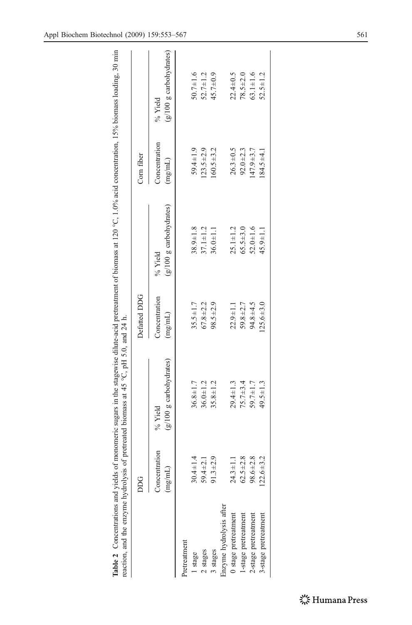<span id="page-8-0"></span>

| $5 - 15$<br>ì                                                                                                      |                                                             |
|--------------------------------------------------------------------------------------------------------------------|-------------------------------------------------------------|
| Ì<br>i<br>ׅׅ֛֛֧֚֚֚֚֚֚֚֚֚֚֚֚֚֚֚֚֚֚֚֚֚֚֚֚֚֚֚֚֚֡֓֕֡֡֡֡֓֓֡֓֡֟֓֡֟֓֡֟֓֡֟֓֡֓֓֞֝֝֬֝֓֞֝֬֝֓֞֝֓֝֬֝֓<br>くこく<br>monom<br>5<br>ì | $\overline{H}$<br>Ì<br>$\tilde{c}$<br>5<br>j<br>j<br>i<br>, |
| ŀ                                                                                                                  | waa aticum ama<br>i                                         |

|                         | DDG                      |                                      | Defatted DDG             |                                    | Corn fiber               |                                                    |
|-------------------------|--------------------------|--------------------------------------|--------------------------|------------------------------------|--------------------------|----------------------------------------------------|
|                         | Concentration<br>(mg/mL) | $(g/100 g$ carbohydrates)<br>% Yield | Concentration<br>(mg/mL) | (g/100 g carbohydrates)<br>% Yield | Concentration<br>(mg/mL) | (g/100 g carbohydrates)<br>% Yield                 |
| <b>Pretreatment</b>     |                          |                                      |                          |                                    |                          |                                                    |
| 1 stage                 | $30.4 \pm 1.4$           | $36.8 \pm 1.7$                       | $35.5 \pm 1.7$           | $38.9 \pm 1.8$                     | $59.4 \pm 1.9$           |                                                    |
| 2 stages                | $59.4 \pm 2.1$           | $36.0 \pm 1.2$                       | $67.8 + 2.2$             | $37.1 \pm 1.2$                     | $123.5 \pm 2.9$          | $50.7 \pm 1.6$<br>$52.7 \pm 1.2$<br>$45.7 \pm 0.9$ |
| stages                  | $91.3 \pm 2.9$           | $35.8 \pm 1.2$                       | $98.5 \pm 2.9$           | $36.0 \pm 1.1$                     | $60.5 + 3.2$             |                                                    |
| inzyme hydrolysis after |                          |                                      |                          |                                    |                          |                                                    |
| stage pretreatment      | $24.3 \pm 1.1$           | $29.4 \pm 1.3$                       | $22.9 \pm 1.1$           | $25.1 \pm 1.2$                     | $26.3 \pm 0.5$           | $22.4 \pm 0.5$                                     |
| 1-stage pretreatment    | $62.5 \pm 2.8$           | $75.7 \pm 3.4$                       | $59.8 + 2.7$             | $65.5 + 3.0$                       | $92.0 \pm 2.3$           | $78.5 + 2.0$                                       |
| 2-stage pretreatment    | $98.6 \pm 2.8$           | $59.7 \pm 1.7$                       | $94.8 + 4.5$             | $52.0 \pm 1.6$                     | $47.9 \pm 3.7$           | $63.1 + 1.6$                                       |
| 3-stage pretreatment    | $122.6 \pm 3.2$          | $19.5 \pm 1.3$                       | $125.6 \pm 3.0$          | $45.9 \pm 1.1$                     | $84.5 \pm 4.1$           | $52.5 \pm 1.2$                                     |
|                         |                          |                                      |                          |                                    |                          |                                                    |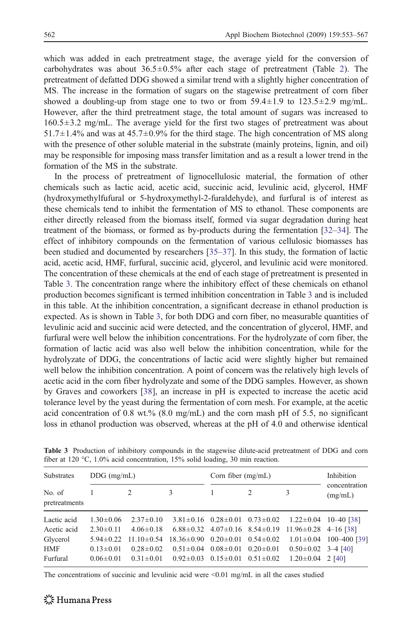<span id="page-9-0"></span>which was added in each pretreatment stage, the average yield for the conversion of carbohydrates was about  $36.5 \pm 0.5\%$  after each stage of pretreatment (Table [2](#page-8-0)). The pretreatment of defatted DDG showed a similar trend with a slightly higher concentration of MS. The increase in the formation of sugars on the stagewise pretreatment of corn fiber showed a doubling-up from stage one to two or from  $59.4 \pm 1.9$  to  $123.5 \pm 2.9$  mg/mL. However, after the third pretreatment stage, the total amount of sugars was increased to 160.5±3.2 mg/mL. The average yield for the first two stages of pretreatment was about  $51.7\pm1.4\%$  and was at  $45.7\pm0.9\%$  for the third stage. The high concentration of MS along with the presence of other soluble material in the substrate (mainly proteins, lignin, and oil) may be responsible for imposing mass transfer limitation and as a result a lower trend in the formation of the MS in the substrate.

In the process of pretreatment of lignocellulosic material, the formation of other chemicals such as lactic acid, acetic acid, succinic acid, levulinic acid, glycerol, HMF (hydroxymethylfufural or 5-hydroxymethyl-2-furaldehyde), and furfural is of interest as these chemicals tend to inhibit the fermentation of MS to ethanol. These components are either directly released from the biomass itself, formed via sugar degradation during heat treatment of the biomass, or formed as by-products during the fermentation [[32](#page-13-0)–[34](#page-14-0)]. The effect of inhibitory compounds on the fermentation of various cellulosic biomasses has been studied and documented by researchers [\[35](#page-14-0)–[37\]](#page-14-0). In this study, the formation of lactic acid, acetic acid, HMF, furfural, succinic acid, glycerol, and levulinic acid were monitored. The concentration of these chemicals at the end of each stage of pretreatment is presented in Table 3. The concentration range where the inhibitory effect of these chemicals on ethanol production becomes significant is termed inhibition concentration in Table 3 and is included in this table. At the inhibition concentration, a significant decrease in ethanol production is expected. As is shown in Table 3, for both DDG and corn fiber, no measurable quantities of levulinic acid and succinic acid were detected, and the concentration of glycerol, HMF, and furfural were well below the inhibition concentrations. For the hydrolyzate of corn fiber, the formation of lactic acid was also well below the inhibition concentration, while for the hydrolyzate of DDG, the concentrations of lactic acid were slightly higher but remained well below the inhibition concentration. A point of concern was the relatively high levels of acetic acid in the corn fiber hydrolyzate and some of the DDG samples. However, as shown by Graves and coworkers [\[38\]](#page-14-0), an increase in pH is expected to increase the acetic acid tolerance level by the yeast during the fermentation of corn mesh. For example, at the acetic acid concentration of 0.8 wt.% (8.0 mg/mL) and the corn mash pH of 5.5, no significant loss in ethanol production was observed, whereas at the pH of 4.0 and otherwise identical

| <b>Substrates</b>       | $DDG$ (mg/mL)   |                  |                                                                 | Corn fiber $(mg/mL)$                            |               |                                                                              | Inhibition                   |
|-------------------------|-----------------|------------------|-----------------------------------------------------------------|-------------------------------------------------|---------------|------------------------------------------------------------------------------|------------------------------|
| No. of<br>pretreatments |                 | 2                | 3                                                               |                                                 | $\mathcal{L}$ | 3                                                                            | concentration<br>(mg/mL)     |
| Lactic acid             | $1.30 \pm 0.06$ | $2.37 \pm 0.10$  |                                                                 |                                                 |               | $3.81 \pm 0.16$ $0.28 \pm 0.01$ $0.73 \pm 0.02$ $1.22 \pm 0.04$ $10-40$ [38] |                              |
| Acetic acid             | $2.30 \pm 0.11$ | $4.06 \pm 0.18$  |                                                                 |                                                 |               | $6.88\pm0.32$ $4.07\pm0.16$ $8.54\pm0.19$ $11.96\pm0.28$ $4-16$ [38]         |                              |
| Glycerol                | $5.94 \pm 0.22$ | $11.10 \pm 0.54$ | $18.36 \pm 0.90$ $0.20 \pm 0.01$ $0.54 \pm 0.02$                |                                                 |               |                                                                              | $1.01 \pm 0.04$ 100-400 [39] |
| HMF                     | $0.13 \pm 0.01$ | $0.28 \pm 0.02$  |                                                                 | $0.51 \pm 0.04$ $0.08 \pm 0.01$ $0.20 \pm 0.01$ |               | $0.50\pm0.02$ 3-4 [40]                                                       |                              |
| Furfural                | $0.06 \pm 0.01$ |                  | $0.31 \pm 0.01$ $0.92 \pm 0.03$ $0.15 \pm 0.01$ $0.51 \pm 0.02$ |                                                 |               | $1.20 \pm 0.04$ 2 [40]                                                       |                              |

Table 3 Production of inhibitory compounds in the stagewise dilute-acid pretreatment of DDG and corn fiber at 120 °C, 1.0% acid concentration, 15% solid loading, 30 min reaction.

The concentrations of succinic and levulinic acid were  $\leq 0.01$  mg/mL in all the cases studied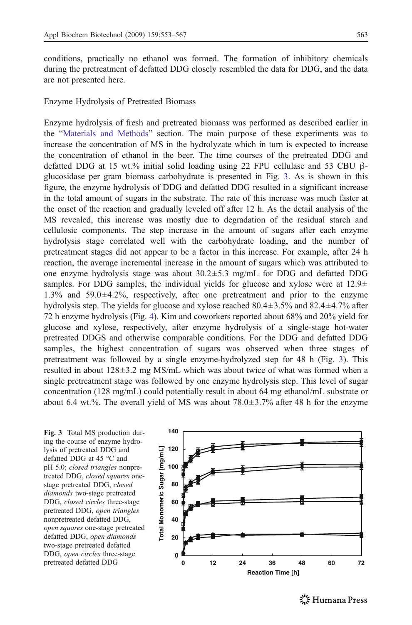conditions, practically no ethanol was formed. The formation of inhibitory chemicals during the pretreatment of defatted DDG closely resembled the data for DDG, and the data are not presented here.

Enzyme Hydrolysis of Pretreated Biomass

Enzyme hydrolysis of fresh and pretreated biomass was performed as described earlier in the "[Materials and Methods](#page-2-0)" section. The main purpose of these experiments was to increase the concentration of MS in the hydrolyzate which in turn is expected to increase the concentration of ethanol in the beer. The time courses of the pretreated DDG and defatted DDG at 15 wt.% initial solid loading using 22 FPU cellulase and 53 CBU βglucosidase per gram biomass carbohydrate is presented in Fig. 3. As is shown in this figure, the enzyme hydrolysis of DDG and defatted DDG resulted in a significant increase in the total amount of sugars in the substrate. The rate of this increase was much faster at the onset of the reaction and gradually leveled off after 12 h. As the detail analysis of the MS revealed, this increase was mostly due to degradation of the residual starch and cellulosic components. The step increase in the amount of sugars after each enzyme hydrolysis stage correlated well with the carbohydrate loading, and the number of pretreatment stages did not appear to be a factor in this increase. For example, after 24 h reaction, the average incremental increase in the amount of sugars which was attributed to one enzyme hydrolysis stage was about  $30.2 \pm 5.3$  mg/mL for DDG and defatted DDG samples. For DDG samples, the individual yields for glucose and xylose were at  $12.9\pm$ 1.3% and 59.0±4.2%, respectively, after one pretreatment and prior to the enzyme hydrolysis step. The yields for glucose and xylose reached  $80.4 \pm 3.5\%$  and  $82.4 \pm 4.7\%$  after 72 h enzyme hydrolysis (Fig. [4](#page-11-0)). Kim and coworkers reported about 68% and 20% yield for glucose and xylose, respectively, after enzyme hydrolysis of a single-stage hot-water pretreated DDGS and otherwise comparable conditions. For the DDG and defatted DDG samples, the highest concentration of sugars was observed when three stages of pretreatment was followed by a single enzyme-hydrolyzed step for 48 h (Fig. 3). This resulted in about  $128 \pm 3.2$  mg MS/mL which was about twice of what was formed when a single pretreatment stage was followed by one enzyme hydrolysis step. This level of sugar concentration (128 mg/mL) could potentially result in about 64 mg ethanol/mL substrate or about 6.4 wt.%. The overall yield of MS was about  $78.0\pm3.7\%$  after 48 h for the enzyme

Fig. 3 Total MS production during the course of enzyme hydrolysis of pretreated DDG and defatted DDG at 45 °C and pH 5.0; closed triangles nonpretreated DDG, closed squares onestage pretreated DDG, closed diamonds two-stage pretreated DDG, closed circles three-stage pretreated DDG, open triangles nonpretreated defatted DDG, open squares one-stage pretreated defatted DDG, open diamonds two-stage pretreated defatted DDG, open circles three-stage pretreated defatted DDG

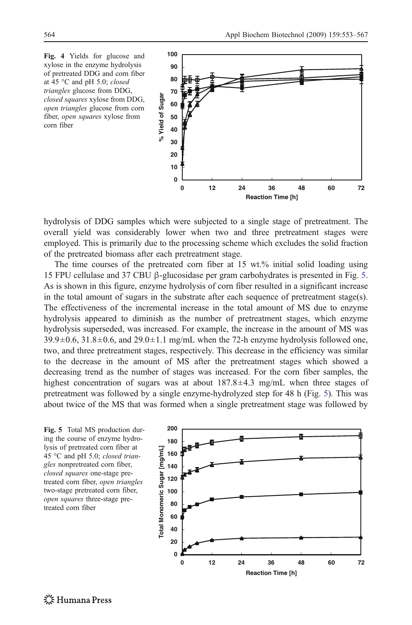<span id="page-11-0"></span>

hydrolysis of DDG samples which were subjected to a single stage of pretreatment. The overall yield was considerably lower when two and three pretreatment stages were employed. This is primarily due to the processing scheme which excludes the solid fraction of the pretreated biomass after each pretreatment stage.

The time courses of the pretreated corn fiber at 15 wt.% initial solid loading using 15 FPU cellulase and 37 CBU β-glucosidase per gram carbohydrates is presented in Fig. 5. As is shown in this figure, enzyme hydrolysis of corn fiber resulted in a significant increase in the total amount of sugars in the substrate after each sequence of pretreatment stage(s). The effectiveness of the incremental increase in the total amount of MS due to enzyme hydrolysis appeared to diminish as the number of pretreatment stages, which enzyme hydrolysis superseded, was increased. For example, the increase in the amount of MS was  $39.9\pm0.6$ ,  $31.8\pm0.6$ , and  $29.0\pm1.1$  mg/mL when the 72-h enzyme hydrolysis followed one, two, and three pretreatment stages, respectively. This decrease in the efficiency was similar to the decrease in the amount of MS after the pretreatment stages which showed a decreasing trend as the number of stages was increased. For the corn fiber samples, the highest concentration of sugars was at about  $187.8 \pm 4.3$  mg/mL when three stages of pretreatment was followed by a single enzyme-hydrolyzed step for 48 h (Fig. 5). This was about twice of the MS that was formed when a single pretreatment stage was followed by

Fig. 5 Total MS production during the course of enzyme hydrolysis of pretreated corn fiber at 45 °C and pH 5.0; closed triangles nonpretreated corn fiber, closed squares one-stage pretreated corn fiber, open triangles two-stage pretreated corn fiber, open squares three-stage pretreated corn fiber

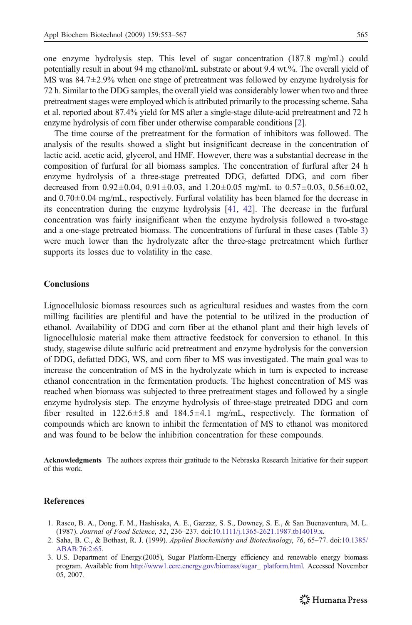<span id="page-12-0"></span>one enzyme hydrolysis step. This level of sugar concentration (187.8 mg/mL) could potentially result in about 94 mg ethanol/mL substrate or about 9.4 wt.%. The overall yield of MS was 84.7±2.9% when one stage of pretreatment was followed by enzyme hydrolysis for 72 h. Similar to the DDG samples, the overall yield was considerably lower when two and three pretreatment stages were employed which is attributed primarily to the processing scheme. Saha et al. reported about 87.4% yield for MS after a single-stage dilute-acid pretreatment and 72 h enzyme hydrolysis of corn fiber under otherwise comparable conditions [2].

The time course of the pretreatment for the formation of inhibitors was followed. The analysis of the results showed a slight but insignificant decrease in the concentration of lactic acid, acetic acid, glycerol, and HMF. However, there was a substantial decrease in the composition of furfural for all biomass samples. The concentration of furfural after 24 h enzyme hydrolysis of a three-stage pretreated DDG, defatted DDG, and corn fiber decreased from  $0.92 \pm 0.04$ ,  $0.91 \pm 0.03$ , and  $1.20 \pm 0.05$  mg/mL to  $0.57 \pm 0.03$ ,  $0.56 \pm 0.02$ , and  $0.70\pm0.04$  mg/mL, respectively. Furfural volatility has been blamed for the decrease in its concentration during the enzyme hydrolysis [[41](#page-14-0), [42](#page-14-0)]. The decrease in the furfural concentration was fairly insignificant when the enzyme hydrolysis followed a two-stage and a one-stage pretreated biomass. The concentrations of furfural in these cases (Table [3\)](#page-9-0) were much lower than the hydrolyzate after the three-stage pretreatment which further supports its losses due to volatility in the case.

## Conclusions

Lignocellulosic biomass resources such as agricultural residues and wastes from the corn milling facilities are plentiful and have the potential to be utilized in the production of ethanol. Availability of DDG and corn fiber at the ethanol plant and their high levels of lignocellulosic material make them attractive feedstock for conversion to ethanol. In this study, stagewise dilute sulfuric acid pretreatment and enzyme hydrolysis for the conversion of DDG, defatted DDG, WS, and corn fiber to MS was investigated. The main goal was to increase the concentration of MS in the hydrolyzate which in turn is expected to increase ethanol concentration in the fermentation products. The highest concentration of MS was reached when biomass was subjected to three pretreatment stages and followed by a single enzyme hydrolysis step. The enzyme hydrolysis of three-stage pretreated DDG and corn fiber resulted in  $122.6 \pm 5.8$  and  $184.5 \pm 4.1$  mg/mL, respectively. The formation of compounds which are known to inhibit the fermentation of MS to ethanol was monitored and was found to be below the inhibition concentration for these compounds.

Acknowledgments The authors express their gratitude to the Nebraska Research Initiative for their support of this work.

### References

- 1. Rasco, B. A., Dong, F. M., Hashisaka, A. E., Gazzaz, S. S., Downey, S. E., & San Buenaventura, M. L. (1987). Journal of Food Science, 52, 236–237. doi:[10.1111/j.1365-2621.1987.tb14019.x](http://dx.doi.org/10.1111/j.1365-2621.1987.tb14019.x).
- 2. Saha, B. C., & Bothast, R. J. (1999). Applied Biochemistry and Biotechnology, 76, 65–77. doi:[10.1385/](http://dx.doi.org/10.1385/ABAB:76:2:65) [ABAB:76:2:65](http://dx.doi.org/10.1385/ABAB:76:2:65).
- 3. U.S. Department of Energy.(2005), Sugar Platform-Energy efficiency and renewable energy biomass program. Available from [http://www1.eere.energy.gov/biomass/sugar\\_ platform.html](http://www1.eere.energy.gov/biomass/sugar_ platform.html). Accessed November 05, 2007.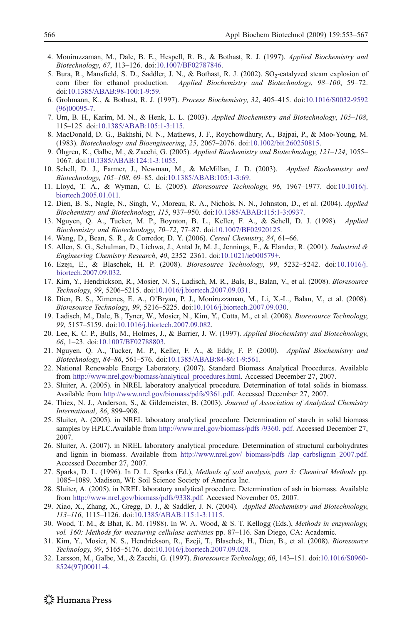- <span id="page-13-0"></span>4. Moniruzzaman, M., Dale, B. E., Hespell, R. B., & Bothast, R. J. (1997). Applied Biochemistry and Biotechnology, 67, 113–126. doi:[10.1007/BF02787846](http://dx.doi.org/10.1007/BF02787846).
- 5. Bura, R., Mansfield, S. D., Saddler, J. N., & Bothast, R. J. (2002). SO<sub>2</sub>-catalyzed steam explosion of corn fiber for ethanol production. *Applied Biochemistry and Biotechnology*, 98–100, 59–72. Applied Biochemistry and Biotechnology, 98–100, 59–72. doi[:10.1385/ABAB:98-100:1-9:59.](http://dx.doi.org/10.1385/ABAB:98-100:1-9:59)
- 6. Grohmann, K., & Bothast, R. J. (1997). Process Biochemistry, 32, 405–415. doi:[10.1016/S0032-9592](http://dx.doi.org/10.1016/S0032-9592(96)00095-7) [\(96\)00095-7.](http://dx.doi.org/10.1016/S0032-9592(96)00095-7)
- 7. Um, B. H., Karim, M. N., & Henk, L. L. (2003). Applied Biochemistry and Biotechnology, 105–108, 115–125. doi[:10.1385/ABAB:105:1-3:115](http://dx.doi.org/10.1385/ABAB:105:1-3:115).
- 8. MacDonald, D. G., Bakhshi, N. N., Mathews, J. F., Roychowdhury, A., Bajpai, P., & Moo-Young, M. (1983). Biotechnology and Bioengineering, 25, 2067–2076. doi:[10.1002/bit.260250815.](http://dx.doi.org/10.1002/bit.260250815)
- 9. Öhgren, K., Galbe, M., & Zacchi, G. (2005). Applied Biochemistry and Biotechnology, 121–124, 1055– 1067. doi:[10.1385/ABAB:124:1-3:1055.](http://dx.doi.org/10.1385/ABAB:124:1-3:1055)
- 10. Schell, D. J., Farmer, J., Newman, M., & McMillan, J. D. (2003). Applied Biochemistry and Biotechnology, 105–108, 69–85. doi:[10.1385/ABAB:105:1-3:69.](http://dx.doi.org/10.1385/ABAB:105:1-3:69)
- 11. Lloyd, T. A., & Wyman, C. E. (2005). Bioresource Technology, 96, 1967–1977. doi[:10.1016/j.](http://dx.doi.org/10.1016/j.biortech.2005.01.011) [biortech.2005.01.011.](http://dx.doi.org/10.1016/j.biortech.2005.01.011)
- 12. Dien, B. S., Nagle, N., Singh, V., Moreau, R. A., Nichols, N. N., Johnston, D., et al. (2004). Applied Biochemistry and Biotechnology, 115, 937–950. doi[:10.1385/ABAB:115:1-3:0937.](http://dx.doi.org/10.1385/ABAB:115:1-3:0937)
- 13. Nguyen, Q. A., Tucker, M. P., Boynton, B. L., Keller, F. A., & Schell, D. J. (1998). Applied Biochemistry and Biotechnology, 70–72, 77–87. doi:[10.1007/BF02920125](http://dx.doi.org/10.1007/BF02920125).
- 14. Wang, D., Bean, S. R., & Corredor, D. Y. (2006). Cereal Chemistry, 84, 61–66.
- 15. Allen, S. G., Schulman, D., Lichwa, J., Antal Jr, M. J., Jennings, E., & Elander, R. (2001). Industrial & Engineering Chemistry Research, 40, 2352–2361. doi:[10.1021/ie000579+](http://dx.doi.org/10.1021/ie000579+).
- 16. Ezeji, E., & Blaschek, H. P. (2008). Bioresource Technology, 99, 5232–5242. doi:[10.1016/j.](http://dx.doi.org/10.1016/j.biortech.2007.09.032) [biortech.2007.09.032.](http://dx.doi.org/10.1016/j.biortech.2007.09.032)
- 17. Kim, Y., Hendrickson, R., Mosier, N. S., Ladisch, M. R., Bals, B., Balan, V., et al. (2008). Bioresource Technology, 99, 5206–5215. doi:[10.1016/j.biortech.2007.09.031](http://dx.doi.org/10.1016/j.biortech.2007.09.031).
- 18. Dien, B. S., Ximenes, E. A., O'Bryan, P. J., Moniruzzaman, M., Li, X.-L., Balan, V., et al. (2008). Bioresource Technology, 99, 5216–5225. doi[:10.1016/j.biortech.2007.09.030.](http://dx.doi.org/10.1016/j.biortech.2007.09.030)
- 19. Ladisch, M., Dale, B., Tyner, W., Mosier, N., Kim, Y., Cotta, M., et al. (2008). Bioresource Technology, 99, 5157–5159. doi[:10.1016/j.biortech.2007.09.082.](http://dx.doi.org/10.1016/j.biortech.2007.09.082)
- 20. Lee, K. C. P., Bulls, M., Holmes, J., & Barrier, J. W. (1997). Applied Biochemistry and Biotechnology, 66, 1–23. doi[:10.1007/BF02788803.](http://dx.doi.org/10.1007/BF02788803)
- 21. Nguyen, Q. A., Tucker, M. P., Keller, F. A., & Eddy, F. P. (2000). Applied Biochemistry and Biotechnology, 84–86, 561–576. doi:[10.1385/ABAB:84-86:1-9:561](http://dx.doi.org/10.1385/ABAB:84-86:1-9:561).
- 22. National Renewable Energy Laboratory. (2007). Standard Biomass Analytical Procedures. Available from [http://www.nrel.gov/biomass/analytical\\_procedures.html.](http://www.nrel.gov/biomass/analytical_procedures.html) Accessed December 27, 2007.
- 23. Sluiter, A. (2005). in NREL laboratory analytical procedure. Determination of total solids in biomass. Available from <http://www.nrel.gov/biomass/pdfs/9361.pdf>. Accessed December 27, 2007.
- 24. Thiex, N. J., Anderson, S., & Gildemeister, B. (2003). Journal of Association of Analytical Chemistry International, 86, 899–908.
- 25. Sluiter, A. (2005). in NREL laboratory analytical procedure. Determination of starch in solid biomass samples by HPLC.Available from [http://www.nrel.gov/biomass/pdfs /9360. pdf.](http://www.nrel.gov/biomass/pdfs /9360. pdf) Accessed December 27, 2007.
- 26. Sluiter, A. (2007). in NREL laboratory analytical procedure. Determination of structural carbohydrates and lignin in biomass. Available from [http://www.nrel.gov/ biomass/pdfs /lap\\_carbslignin\\_2007.pdf.](http://www.nrel.gov/ biomass/pdfs /lap_carbslignin_2007.pdf) Accessed December 27, 2007.
- 27. Sparks, D. L. (1996). In D. L. Sparks (Ed.), Methods of soil analysis, part 3: Chemical Methods pp. 1085–1089. Madison, WI: Soil Science Society of America Inc.
- 28. Sluiter, A. (2005). in NREL laboratory analytical procedure. Determination of ash in biomass. Available from [http://www.nrel.gov/biomass/pdfs/9338.pdf.](http://www.nrel.gov/biomass/pdfs/9338.pdf) Accessed November 05, 2007.
- 29. Xiao, X., Zhang, X., Gregg, D. J., & Saddler, J. N. (2004). Applied Biochemistry and Biotechnology, 113–116, 1115–1126. doi[:10.1385/ABAB:115:1-3:1115](http://dx.doi.org/10.1385/ABAB:115:1-3:1115).
- 30. Wood, T. M., & Bhat, K. M. (1988). In W. A. Wood, & S. T. Kellogg (Eds.), Methods in enzymology, vol. 160: Methods for measuring cellulase activities pp. 87–116. San Diego, CA: Academic.
- 31. Kim, Y., Mosier, N. S., Hendrickson, R., Ezeji, T., Blaschek, H., Dien, B., et al. (2008). Bioresource Technology, 99, 5165–5176. doi:[10.1016/j.biortech.2007.09.028](http://dx.doi.org/10.1016/j.biortech.2007.09.028).
- 32. Larsson, M., Galbe, M., & Zacchi, G. (1997). Bioresource Technology, 60, 143–151. doi:[10.1016/S0960-](http://dx.doi.org/10.1016/S0960-8524(97)00011-4) [8524\(97\)00011-4](http://dx.doi.org/10.1016/S0960-8524(97)00011-4).